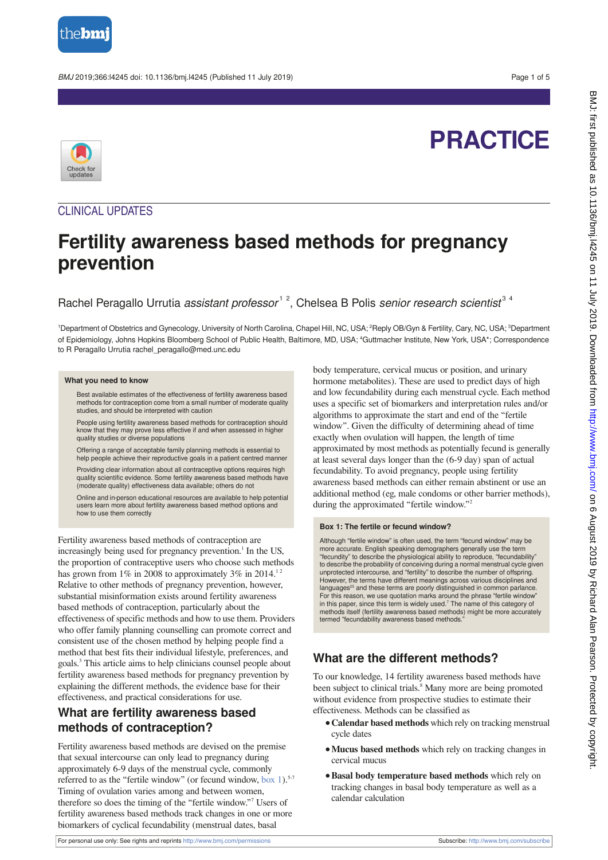

#### BMJ 2019;366:l4245 doi: 10.1136/bmj.l4245 (Published 11 July 2019) example to the state of 5

# **PRACTICE**



## CLINICAL UPDATES

## **Fertility awareness based methods for pregnancy prevention**

Rachel Peragallo Urrutia assistant professor<sup>12</sup>, Chelsea B Polis senior research scientist<sup>34</sup>

<sup>1</sup>Department of Obstetrics and Gynecology, University of North Carolina, Chapel Hill, NC, USA; <sup>2</sup>Reply OB/Gyn & Fertility, Cary, NC, USA; <sup>3</sup>Department of Epidemiology, Johns Hopkins Bloomberg School of Public Health, Baltimore, MD, USA; <sup>4</sup>Guttmacher Institute, New York, USA\*; Correspondence to R Peragallo Urrutia rachel\_peragallo@med.unc.edu

#### **What you need to know**

Best available estimates of the effectiveness of fertility awareness based methods for contraception come from a small number of moderate quality studies, and should be interpreted with caution

People using fertility awareness based methods for contraception should know that they may prove less effective if and when assessed in higher quality studies or diverse populations

Offering a range of acceptable family planning methods is essential to help people achieve their reproductive goals in a patient centred manner

Providing clear information about all contraceptive options requires high quality scientific evidence. Some fertility awareness based methods have (moderate quality) effectiveness data available; others do not

Online and in-person educational resources are available to help potential users learn more about fertility awareness based method options and how to use them correctly

Fertility awareness based methods of contraception are increasingly being used for pregnancy prevention.<sup>1</sup> In the US, the proportion of contraceptive users who choose such methods has grown from  $1\%$  in 2008 to approximately  $3\%$  in 2014.<sup>11</sup> Relative to other methods of pregnancy prevention, however, substantial misinformation exists around fertility awareness based methods of contraception, particularly about the effectiveness of specific methods and how to use them. Providers who offer family planning counselling can promote correct and consistent use of the chosen method by helping people find a method that best fits their individual lifestyle, preferences, and goals.3 This article aims to help clinicians counsel people about fertility awareness based methods for pregnancy prevention by explaining the different methods, the evidence base for their effectiveness, and practical considerations for use.

## **What are fertility awareness based methods of contraception?**

Fertility awareness based methods are devised on the premise that sexual intercourse can only lead to pregnancy during approximately 6-9 days of the menstrual cycle, commonly referred to as the "fertile window" (or fecund window, box 1).<sup>5-7</sup> Timing of ovulation varies among and between women, therefore so does the timing of the "fertile window."7 Users of fertility awareness based methods track changes in one or more biomarkers of cyclical fecundability (menstrual dates, basal

body temperature, cervical mucus or position, and urinary hormone metabolites). These are used to predict days of high and low fecundability during each menstrual cycle. Each method uses a specific set of biomarkers and interpretation rules and/or algorithms to approximate the start and end of the "fertile window". Given the difficulty of determining ahead of time exactly when ovulation will happen, the length of time approximated by most methods as potentially fecund is generally at least several days longer than the (6-9 day) span of actual fecundability. To avoid pregnancy, people using fertility awareness based methods can either remain abstinent or use an additional method (eg, male condoms or other barrier methods), during the approximated "fertile window."2

#### **Box 1: The fertile or fecund window?**

Although "fertile window" is often used, the term "fecund window" may be more accurate. English speaking demographers generally use the term "fecundity" to describe the physiological ability to reproduce, "fecundability" to describe the probability of conceiving during a normal menstrual cycle given unprotected intercourse, and "fertility" to describe the number of offspring. However, the terms have different meanings across various disciplines and<br>languages<sup>25</sup> and these terms are poorly distinguished in common parlance. For this reason, we use quotation marks around the phrase "fertile window" in this paper, since this term is widely used. $<sup>7</sup>$  The name of this category of</sup> methods itself (fertility awareness based methods) might be more accurately termed "fecundability awareness based methods."

## **What are the different methods?**

To our knowledge, 14 fertility awareness based methods have been subject to clinical trials.<sup>8</sup> Many more are being promoted without evidence from prospective studies to estimate their effectiveness. Methods can be classified as

- **•Calendar based methods** which rely on tracking menstrual cycle dates
- **•Mucus based methods** which rely on tracking changes in cervical mucus
- **•Basal body temperature based methods** which rely on tracking changes in basal body temperature as well as a calendar calculation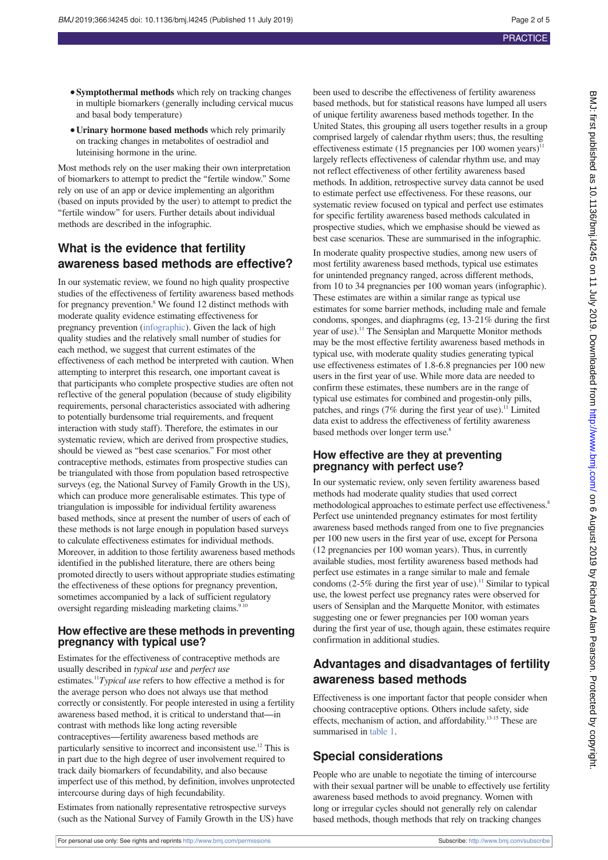- **•Symptothermal methods** which rely on tracking changes in multiple biomarkers (generally including cervical mucus and basal body temperature)
- **•Urinary hormone based methods** which rely primarily on tracking changes in metabolites of oestradiol and luteinising hormone in the urine.

Most methods rely on the user making their own interpretation of biomarkers to attempt to predict the "fertile window." Some rely on use of an app or device implementing an algorithm (based on inputs provided by the user) to attempt to predict the "fertile window" for users. Further details about individual methods are described in the infographic.

## **What is the evidence that fertility awareness based methods are effective?**

In our systematic review, we found no high quality prospective studies of the effectiveness of fertility awareness based methods for pregnancy prevention.<sup>8</sup> We found 12 distinct methods with moderate quality evidence estimating effectiveness for pregnancy prevention [\(infographic\).](#page-4-0) Given the lack of high quality studies and the relatively small number of studies for each method, we suggest that current estimates of the effectiveness of each method be interpreted with caution. When attempting to interpret this research, one important caveat is that participants who complete prospective studies are often not reflective of the general population (because of study eligibility requirements, personal characteristics associated with adhering to potentially burdensome trial requirements, and frequent interaction with study staff). Therefore, the estimates in our systematic review, which are derived from prospective studies, should be viewed as "best case scenarios." For most other contraceptive methods, estimates from prospective studies can be triangulated with those from population based retrospective surveys (eg, the National Survey of Family Growth in the US), which can produce more generalisable estimates. This type of triangulation is impossible for individual fertility awareness based methods, since at present the number of users of each of these methods is not large enough in population based surveys to calculate effectiveness estimates for individual methods. Moreover, in addition to those fertility awareness based methods identified in the published literature, there are others being promoted directly to users without appropriate studies estimating the effectiveness of these options for pregnancy prevention, sometimes accompanied by a lack of sufficient regulatory oversight regarding misleading marketing claims.<sup>9 10</sup>

### **How effective are these methods in preventing pregnancy with typical use?**

Estimates for the effectiveness of contraceptive methods are usually described in *typical use* and *perfect use* estimates.11*Typical use* refers to how effective a method is for the average person who does not always use that method correctly or consistently. For people interested in using a fertility awareness based method, it is critical to understand that—in contrast with methods like long acting reversible contraceptives—fertility awareness based methods are particularly sensitive to incorrect and inconsistent use.12 This is in part due to the high degree of user involvement required to track daily biomarkers of fecundability, and also because imperfect use of this method, by definition, involves unprotected intercourse during days of high fecundability.

Estimates from nationally representative retrospective surveys (such as the National Survey of Family Growth in the US) have been used to describe the effectiveness of fertility awareness based methods, but for statistical reasons have lumped all users of unique fertility awareness based methods together. In the United States, this grouping all users together results in a group comprised largely of calendar rhythm users; thus, the resulting effectiveness estimate (15 pregnancies per 100 women years)<sup>11</sup> largely reflects effectiveness of calendar rhythm use, and may not reflect effectiveness of other fertility awareness based methods. In addition, retrospective survey data cannot be used to estimate perfect use effectiveness. For these reasons, our systematic review focused on typical and perfect use estimates for specific fertility awareness based methods calculated in prospective studies, which we emphasise should be viewed as best case scenarios. These are summarised in the infographic.

In moderate quality prospective studies, among new users of most fertility awareness based methods, typical use estimates for unintended pregnancy ranged, across different methods, from 10 to 34 pregnancies per 100 woman years (infographic). These estimates are within a similar range as typical use estimates for some barrier methods, including male and female condoms, sponges, and diaphragms (eg, 13-21% during the first year of use).<sup>11</sup> The Sensiplan and Marquette Monitor methods may be the most effective fertility awareness based methods in typical use, with moderate quality studies generating typical use effectiveness estimates of 1.8-6.8 pregnancies per 100 new users in the first year of use. While more data are needed to confirm these estimates, these numbers are in the range of typical use estimates for combined and progestin-only pills, patches, and rings  $(7\%$  during the first year of use).<sup>11</sup> Limited data exist to address the effectiveness of fertility awareness based methods over longer term use.<sup>8</sup>

## **How effective are they at preventing pregnancy with perfect use?**

In our systematic review, only seven fertility awareness based methods had moderate quality studies that used correct methodological approaches to estimate perfect use effectiveness.<sup>8</sup> Perfect use unintended pregnancy estimates for most fertility awareness based methods ranged from one to five pregnancies per 100 new users in the first year of use, except for Persona (12 pregnancies per 100 woman years). Thus, in currently available studies, most fertility awareness based methods had perfect use estimates in a range similar to male and female condoms (2-5% during the first year of use).<sup>11</sup> Similar to typical use, the lowest perfect use pregnancy rates were observed for users of Sensiplan and the Marquette Monitor, with estimates suggesting one or fewer pregnancies per 100 woman years during the first year of use, though again, these estimates require confirmation in additional studies.

## **Advantages and disadvantages of fertility awareness based methods**

Effectiveness is one important factor that people consider when choosing contraceptive options. Others include safety, side effects, mechanism of action, and affordability.13-15 These are summarised i[n table 1.](#page-4-0)

## **Special considerations**

People who are unable to negotiate the timing of intercourse with their sexual partner will be unable to effectively use fertility awareness based methods to avoid pregnancy. Women with long or irregular cycles should not generally rely on calendar based methods, though methods that rely on tracking changes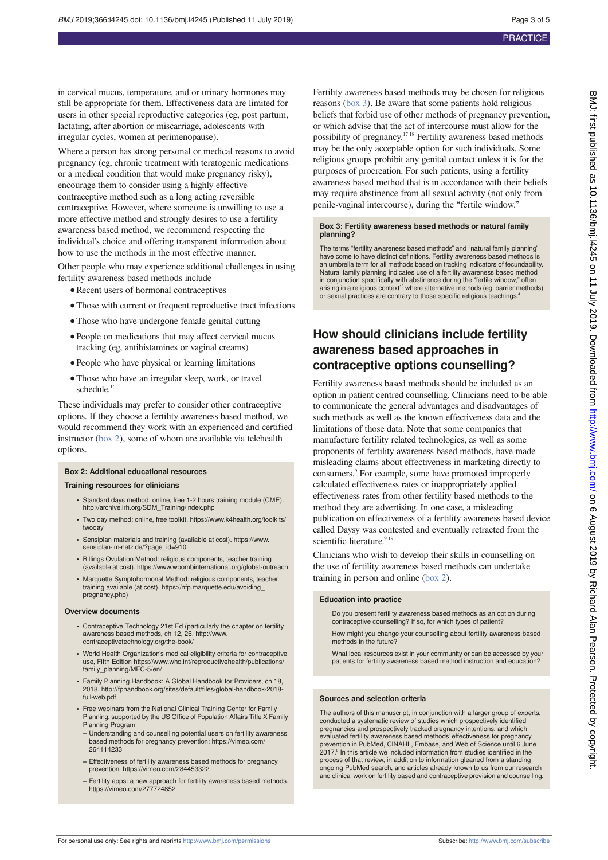in cervical mucus, temperature, and or urinary hormones may still be appropriate for them. Effectiveness data are limited for users in other special reproductive categories (eg, post partum, lactating, after abortion or miscarriage, adolescents with irregular cycles, women at perimenopause).

Where a person has strong personal or medical reasons to avoid pregnancy (eg, chronic treatment with teratogenic medications or a medical condition that would make pregnancy risky), encourage them to consider using a highly effective contraceptive method such as a long acting reversible contraceptive. However, where someone is unwilling to use a more effective method and strongly desires to use a fertility awareness based method, we recommend respecting the individual's choice and offering transparent information about how to use the methods in the most effective manner.

Other people who may experience additional challenges in using fertility awareness based methods include

- **•**Recent users of hormonal contraceptives
- **•**Those with current or frequent reproductive tract infections
- Those who have undergone female genital cutting
- People on medications that may affect cervical mucus tracking (eg, antihistamines or vaginal creams)
- **•**People who have physical or learning limitations
- **•**Those who have an irregular sleep, work, or travel schedule.<sup>16</sup>

These individuals may prefer to consider other contraceptive options. If they choose a fertility awareness based method, we would recommend they work with an experienced and certified instructor (box 2), some of whom are available via telehealth options.

#### **Box 2: Additional educational resources**

#### **Training resources for clinicians**

- **•** Standard days method: online, free 1-2 hours training module (CME). http://archive.irh.org/SDM\_Training/index.php
- **•** Two day method: online, free toolkit. https://www.k4health.org/toolkits/ twoday
- **•** Sensiplan materials and training (available at cost). https://www. sensiplan-im-netz.de/?page\_id=910.
- **•** Billings Ovulation Method: religious components, teacher training (available at cost). https://www.woombinternational.org/global-outreach
- **•** Marquette Symptohormonal Method: religious components, teacher training available (at cost). https://nfp.marquette.edu/avoiding\_ pregnancy.php)

#### **Overview documents**

- **•** Contraceptive Technology 21st Ed (particularly the chapter on fertility awareness based methods, ch 12, 26. http://www. contraceptivetechnology.org/the-book/
- **•** World Health Organization's medical eligibility criteria for contraceptive use, Fifth Edition https://www.who.int/reproductivehealth/publications/ family\_planning/MEC-5/en/
- **•** Family Planning Handbook: A Global Handbook for Providers, ch 18, 2018. http://fphandbook.org/sites/default/files/global-handbook-2018 full-web.pdf
- **•** Free webinars from the National Clinical Training Center for Family Planning, supported by the US Office of Population Affairs Title X Family Planning Program
- **–** Understanding and counselling potential users on fertility awareness based methods for pregnancy prevention: https://vimeo.com/ 264114233
- **–** Effectiveness of fertility awareness based methods for pregnancy prevention. https://vimeo.com/284453322
- **–** Fertility apps: a new approach for fertility awareness based methods. https://vimeo.com/277724852

Fertility awareness based methods may be chosen for religious reasons (box 3). Be aware that some patients hold religious beliefs that forbid use of other methods of pregnancy prevention, or which advise that the act of intercourse must allow for the possibility of pregnancy.17 18 Fertility awareness based methods may be the only acceptable option for such individuals. Some religious groups prohibit any genital contact unless it is for the purposes of procreation. For such patients, using a fertility awareness based method that is in accordance with their beliefs may require abstinence from all sexual activity (not only from penile-vaginal intercourse), during the "fertile window."

#### **Box 3: Fertility awareness based methods or natural family planning?**

The terms "fertility awareness based methods" and "natural family planning" have come to have distinct definitions. Fertility awareness based methods is an umbrella term for all methods based on tracking indicators of fecundability. Natural family planning indicates use of a fertility awareness based method in conjunction specifically with abstinence during the "fertile window," often arising in a religious context<sup>16</sup> where alternative methods (eg, barrier methods) or sexual practices are contrary to those specific religious teachings.4

## **How should clinicians include fertility awareness based approaches in contraceptive options counselling?**

Fertility awareness based methods should be included as an option in patient centred counselling. Clinicians need to be able to communicate the general advantages and disadvantages of such methods as well as the known effectiveness data and the limitations of those data. Note that some companies that manufacture fertility related technologies, as well as some proponents of fertility awareness based methods, have made misleading claims about effectiveness in marketing directly to consumers.<sup>9</sup> For example, some have promoted improperly calculated effectiveness rates or inappropriately applied effectiveness rates from other fertility based methods to the method they are advertising. In one case, a misleading publication on effectiveness of a fertility awareness based device called Daysy was contested and eventually retracted from the scientific literature.<sup>9 19</sup>

Clinicians who wish to develop their skills in counselling on the use of fertility awareness based methods can undertake training in person and online (box 2).

#### **Education into practice**

Do you present fertility awareness based methods as an option during contraceptive counselling? If so, for which types of patient?

How might you change your counselling about fertility awareness based methods in the future

What local resources exist in your community or can be accessed by your patients for fertility awareness based method instruction and education?

#### **Sources and selection criteria**

The authors of this manuscript, in conjunction with a larger group of experts, conducted a systematic review of studies which prospectively identified pregnancies and prospectively tracked pregnancy intentions, and which evaluated fertility awareness based methods' effectiveness for pregnancy prevention in PubMed, CINAHL, Embase, and Web of Science until 6 June<br>2017.<sup>8</sup> In this article we included information from studies identified in the process of that review, in addition to information gleaned from a standing ongoing PubMed search, and articles already known to us from our research and clinical work on fertility based and contraceptive provision and counselling.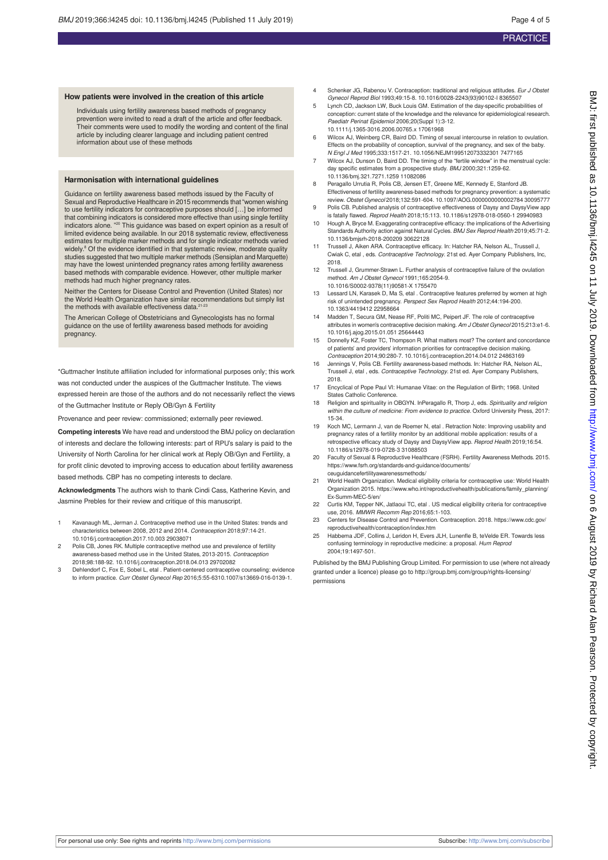#### **How patients were involved in the creation of this article**

Individuals using fertility awareness based methods of pregnancy prevention were invited to read a draft of the article and offer feedback. Their comments were used to modify the wording and content of the final article by including clearer language and including patient centred information about use of these methods

#### **Harmonisation with international guidelines**

Guidance on fertility awareness based methods issued by the Faculty of Sexual and Reproductive Healthcare in 2015 recommends that "women wishing to use fertility indicators for contraceptive purposes should […] be informed that combining indicators is considered more effective than using single fertility indicators alone. "20 This guidance was based on expert opinion as a result of limited evidence being available. In our 2018 systematic review, effectiveness estimates for multiple marker methods and for single indicator methods varied widely.<sup>8</sup> Of the evidence identified in that systematic review, moderate quality studies suggested that two multiple marker methods (Sensiplan and Marquette) may have the lowest unintended pregnancy rates among fertility awareness based methods with comparable evidence. However, other multiple marker methods had much higher pregnancy rates.

Neither the Centers for Disease Control and Prevention (United States) nor the World Health Organization have similar recommendations but simply list<br>the methods with available effectiveness data.<sup>21-23</sup>

The American College of Obstetricians and Gynecologists has no formal guidance on the use of fertility awareness based methods for avoiding pregnancy.

\*Guttmacher Institute affiliation included for informational purposes only; this work was not conducted under the auspices of the Guttmacher Institute. The views

expressed herein are those of the authors and do not necessarily reflect the views of the Guttmacher Institute or Reply OB/Gyn & Fertility

Provenance and peer review: commissioned; externally peer reviewed.

**Competing interests** We have read and understood the BMJ policy on declaration of interests and declare the following interests: part of RPU's salary is paid to the University of North Carolina for her clinical work at Reply OB/Gyn and Fertility, a for profit clinic devoted to improving access to education about fertility awareness based methods. CBP has no competing interests to declare.

**Acknowledgments** The authors wish to thank Cindi Cass, Katherine Kevin, and Jasmine Prebles for their review and critique of this manuscript.

- 1 Kavanaugh ML, Jerman J. Contraceptive method use in the United States: trends and characteristics between 2008, 2012 and 2014. Contraception 2018;97:14-21. 10.1016/j.contraception.2017.10.003 29038071
- 2 Polis CB, Jones RK. Multiple contraceptive method use and prevalence of fertility awareness-based method use in the United States, 2013-2015. Contraception 2018;98:188-92. 10.1016/j.contraception.2018.04.013 29702082
- 3 Dehlendorf C, Fox E, Sobel L, etal . Patient-centered contraceptive counseling: evidence to inform practice. Curr Obstet Gynecol Rep 2016;5:55-6310.1007/s13669-016-0139-1.
- 4 Schenker JG, Rabenou V. Contraception: traditional and religious attitudes. Eur J Obstet Gynecol Reprod Biol 1993;49:15-8. 10.1016/0028-2243(93)90102-I 8365507
- 5 Lynch CD, Jackson LW, Buck Louis GM. Estimation of the day-specific probabilities of conception: current state of the knowledge and the relevance for epidemiological research. Paediatr Perinat Epidemiol 2006;20(Suppl 1):3-12. 10.1111/j.1365-3016.2006.00765.x 17061968
- 6 Wilcox AJ, Weinberg CR, Baird DD. Timing of sexual intercourse in relation to ovulation. Effects on the probability of conception, survival of the pregnancy, and sex of the baby. N Engl J Med 1995;333:1517-21. 10.1056/NEJM199512073332301 7477165
- 7 Wilcox AJ, Dunson D, Baird DD. The timing of the "fertile window" in the menstrual cycle: day specific estimates from a prospective study. BMJ 2000;321:1259-62. 10.1136/bmj.321.7271.1259 11082086
- 8 Peragallo Urrutia R, Polis CB, Jensen ET, Greene ME, Kennedy E, Stanford JB. Effectiveness of fertility awareness-based methods for pregnancy prevention: a systematic review. Obstet Gynecol 2018;132:591-604. 10.1097/AOG.0000000000002784 30095777
- 9 Polis CB. Published analysis of contraceptive effectiveness of Daysy and DaysyView app is fatally flawed. Reprod Health 2018;15:113. 10.1186/s12978-018-0560-1 29940983
- 10 Hough A, Bryce M. Exaggerating contraceptive efficacy: the implications of the Advertising Standards Authority action against Natural Cycles. BMJ Sex Reprod Health 2019;45:71-2. 10.1136/bmjsrh-2018-200209 30622128
- 11 Trussell J, Aiken ARA. Contraceptive efficacy. In: Hatcher RA, Nelson AL, Trussell J, Cwiak C, etal , eds. Contraceptive Technology. 21st ed. Ayer Company Publishers, Inc, 2018.
- 12 Trussell J, Grummer-Strawn L. Further analysis of contraceptive failure of the ovulation method. Am J Obstet Gynecol 1991;165:2054-9.
- 10.1016/S0002-9378(11)90581-X 1755470 13 Lessard LN, Karasek D, Ma S, etal . Contraceptive features preferred by women at high risk of unintended pregnancy. Perspect Sex Reprod Health 2012;44:194-200. 10.1363/4419412 22958664
- 14 Madden T, Secura GM, Nease RF, Politi MC, Peipert JF. The role of contraceptive attributes in women's contraceptive decision making. Am J Obstet Gynecol 2015;213:e1-6. 10.1016/j.ajog.2015.01.051 25644443
- 15 Donnelly KZ, Foster TC, Thompson R. What matters most? The content and concordance of patients' and providers' information priorities for contraceptive decision making. Contraception 2014;90:280-7. 10.1016/j.contraception.2014.04.012 24863169
- Jennings V, Polis CB. Fertility awareness-based methods. In: Hatcher RA, Nelson AL, Trussell J, etal , eds. Contraceptive Technology. 21st ed. Ayer Company Publishers, 2018.
- 17 Encyclical of Pope Paul VI: Humanae Vitae: on the Regulation of Birth; 1968. United States Catholic Conference
- 18 Religion and spirituality in OBGYN. InPeragallo R, Thorp J, eds. Spirituality and religion within the culture of medicine: From evidence to practice. Oxford University Press, 2017: 15-34.
- 19 Koch MC, Lermann J, van de Roemer N, etal . Retraction Note: Improving usability and pregnancy rates of a fertility monitor by an additional mobile application: results of a retrospective efficacy study of Daysy and DaysyView app. Reprod Health 2019;16:54. 10.1186/s12978-019-0728-3 31088503
- 20 Faculty of Sexual & Reproductive Healthcare (FSRH). Fertility Awareness Methods. 2015. https://www.fsrh.org/standards-and-guidance/documents/ ceuguidancefertilityawarenessmethods/
- 21 World Health Organization. Medical eligibility criteria for contraceptive use: World Health Organization 2015. https://www.who.int/reproductivehealth/publications/family\_planning/ Ex-Summ-MEC-5/en/
- 22 Curtis KM, Tepper NK, Jatlaoui TC, etal . US medical eligibility criteria for contraceptive use, 2016. MMWR Recomm Rep 2016;65:1-103.
- 23 Centers for Disease Control and Prevention. Contraception. 2018. https://www.cdc.gov/ reproductivehealth/contraception/index.htm
- 25 Habbema JDF, Collins J, Leridon H, Evers JLH, Lunenfle B, teVelde ER. Towards less confusing terminology in reproductive medicine: a proposal. Hum Reprod 2004;19:1497-501.

Published by the BMJ Publishing Group Limited. For permission to use (where not already granted under a licence) please go to http://group.bmj.com/group/rights-licensing/ permissions